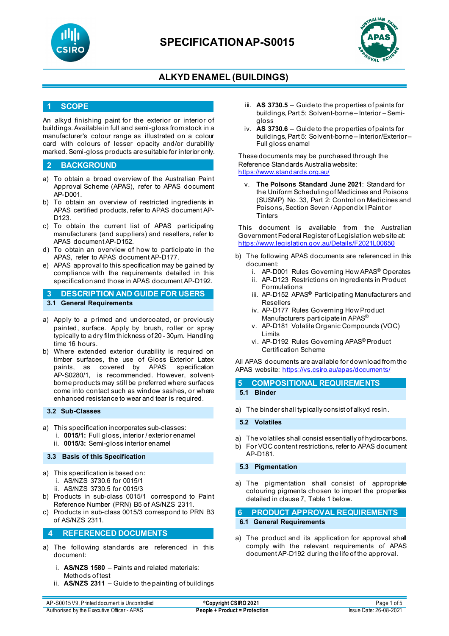



## **ALKYD ENAMEL (BUILDINGS)**

### **1 SCOPE**

An alkyd finishing paint for the exterior or interior of buildings. Available in full and semi-gloss from stock in a manufacturer's colour range as illustrated on a colour card with colours of lesser opacity and/or durability marked. Semi-gloss products are suitable for interior only.

### **2 BACKGROUND**

- a) To obtain a broad overview of the Australian Paint Approval Scheme (APAS), refer to APAS document AP-D001.
- b) To obtain an overview of restricted ingredients in APAS certified products, refer to APAS document AP-D<sub>123</sub>
- c) To obtain the current list of APAS participating manufacturers (and suppliers) and resellers, refer to APAS document AP-D152.
- d) To obtain an overview of how to participate in the APAS, refer to APAS document AP-D177.
- e) APAS approval to this specification may be gained by compliance with the requirements detailed in this specification and those in APAS document AP-D192.
- **3 DESCRIPTION AND GUIDE FOR USERS 3.1 General Requirements**
- a) Apply to a primed and undercoated, or previously painted, surface. Apply by brush, roller or spray typically to a dry film thickness of 20 - 30µm. Handling time 16 hours.
- b) Where extended exterior durability is required on timber surfaces, the use of Gloss Exterior Latex paints, as covered by APAS specification AP-S0280/1, is recommended. However, solventborne products may still be preferred where surfaces come into contact such as window sashes, or where enhanced resistance to wear and tear is required.

#### **3.2 Sub-Classes**

- a) This specification incorporates sub-classes:
	- i. **0015/1:** Full gloss, interior / exterior enamel
	- ii. **0015/3:** Semi-gloss interior enamel

#### **3.3 Basis of this Specification**

- a) This specification is based on: i. AS/NZS 3730.6 for 0015/1 ii. AS/NZS 3730.5 for 0015/3
	-
- b) Products in sub-class 0015/1 correspond to Paint Reference Number (PRN) B5 of AS/NZS 2311.
- c) Products in sub-class 0015/3 correspond to PRN B3 of AS/NZS 2311.

### **4 REFERENCED DOCUMENTS**

- a) The following standards are referenced in this document:
	- i. **AS/NZS 1580** Paints and related materials: Methods of test
	- ii. **AS/NZS 2311** Guide to the painting of buildings
- iii. **AS 3730.5** Guide to the properties of paints for buildings, Part 5: Solvent-borne – Interior – Semigloss
- iv. **AS 3730.6** Guide to the properties of paints for buildings, Part 5: Solvent-borne – Interior/Exterior – Full gloss enamel

These documents may be purchased through the Reference Standards Australia website: <https://www.standards.org.au/>

**The Poisons Standard June 2021: Standard for** the Uniform Scheduling of Medicines and Poisons (SUSMP) No. 33, Part 2: Control on Medicines and Poisons, Section Seven / Appendix I Paint or **Tinters** 

This document is available from the Australian Government Federal Register of Legislation web site at: [https://www.legislation.gov.au/Details/F2021L00650](https://www.legislation.gov.au/Details/F2021L01255)

- b) The following APAS documents are referenced in this document:
	- i. AP-D001 Rules Governing How APAS® Operates
	- ii. AP-D123 Restrictions on Ingredients in Product Formulations
	- iii. AP-D152 APAS<sup>®</sup> Participating Manufacturers and Resellers
	- iv. AP-D177 Rules Governing How Product Manufacturers participate in APAS®
	- v. AP-D181 Volatile Organic Compounds (VOC) Limits
	- vi. AP-D192 Rules Governing APAS® Product Certification Scheme

All APAS documents are available for download from the APAS website: <https://vs.csiro.au/apas/documents/>

**5 COMPOSITIONAL REQUIREMENTS 5.1 Binder**

a) The binder shall typically consist of alkyd resin.

**5.2 Volatiles**

a) The volatiles shall consist essentially of hydrocarbons. b) For VOC content restrictions, refer to APAS document AP-D181.

**5.3 Pigmentation**

a) The pigmentation shall consist of appropriate colouring pigments chosen to impart the properties detailed in clause 7, Table 1 below.

#### **6 PRODUCT APPROVAL REQUIREMENTS 6.1 General Requirements**

a) The product and its application for approval shall comply with the relevant requirements of APAS document AP-D192 during the life of the approval.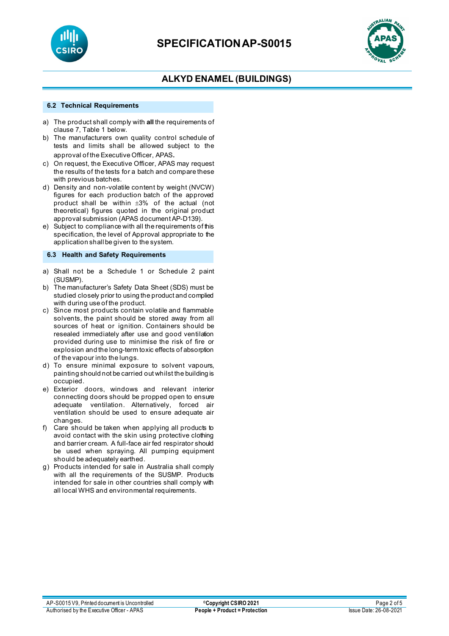



# **ALKYD ENAMEL (BUILDINGS)**

#### **6.2 Technical Requirements**

- a) The product shall comply with **all** the requirements of clause 7, Table 1 below.
- b) The manufacturers own quality control schedule of tests and limits shall be allowed subject to the approval of the Executive Officer, APAS.
- c) On request, the Executive Officer, APAS may request the results of the tests for a batch and compare these with previous batches.
- d) Density and non-volatile content by weight (NVCW) figures for each production batch of the approved product shall be within ±3% of the actual (not theoretical) figures quoted in the original product approval submission (APAS document AP-D139).
- e) Subject to compliance with all the requirements of this specification, the level of Approval appropriate to the application shall be given to the system.

#### **6.3 Health and Safety Requirements**

- a) Shall not be a Schedule 1 or Schedule 2 paint (SUSMP).
- b) The manufacturer's Safety Data Sheet (SDS) must be studied closely prior to using the product and complied with during use of the product.
- c) Since most products contain volatile and flammable solvents, the paint should be stored away from all sources of heat or ignition. Containers should be resealed immediately after use and good ventilation provided during use to minimise the risk of fire or explosion and the long-term toxic effects of absorption of the vapour into the lungs.
- d) To ensure minimal exposure to solvent vapours, painting should not be carried out whilst the building is occupied.
- e) Exterior doors, windows and relevant interior connecting doors should be propped open to ensure adequate ventilation. Alternatively, forced air ventilation should be used to ensure adequate air changes.
- f) Care should be taken when applying all products to avoid contact with the skin using protective clothing and barrier cream. A full-face air fed respirator should be used when spraying. All pumping equipment should be adequately earthed.
- g) Products intended for sale in Australia shall comply with all the requirements of the SUSMP. Products intended for sale in other countries shall comply with all local WHS and environmental requirements.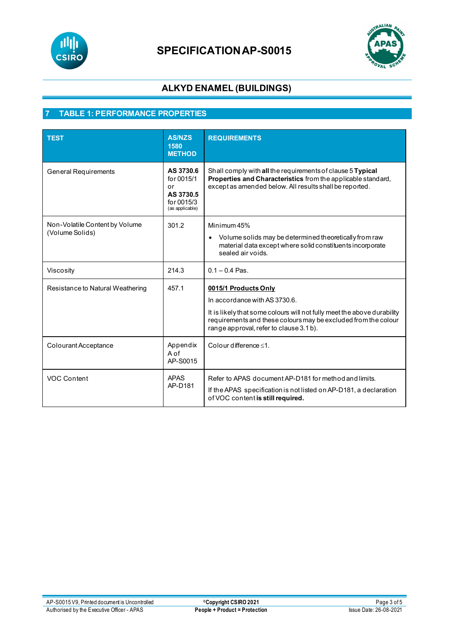

# **SPECIFICATIONAP-S0015**



# **ALKYD ENAMEL (BUILDINGS)**

# **7 TABLE 1: PERFORMANCE PROPERTIES**

| <b>TEST</b>                                       | <b>AS/NZS</b><br>1580<br><b>METHOD</b>                                      | <b>REQUIREMENTS</b>                                                                                                                                                                                                                           |
|---------------------------------------------------|-----------------------------------------------------------------------------|-----------------------------------------------------------------------------------------------------------------------------------------------------------------------------------------------------------------------------------------------|
| <b>General Requirements</b>                       | AS 3730.6<br>for 0015/1<br>or<br>AS 3730.5<br>for 0015/3<br>(as applicable) | Shall comply with all the requirements of clause 5 Typical<br>Properties and Characteristics from the applicable standard,<br>except as amended below. All results shall be reported.                                                         |
| Non-Volatile Content by Volume<br>(Volume Solids) | 301.2                                                                       | Minimum 45%<br>Volume solids may be determined theoretically from raw<br>$\bullet$<br>material data except where solid constituents incorporate<br>sealed air voids.                                                                          |
| Viscosity                                         | 214.3                                                                       | $0.1 - 0.4$ Pas.                                                                                                                                                                                                                              |
| Resistance to Natural Weathering                  | 457.1                                                                       | 0015/1 Products Only<br>In accordance with AS 3730.6.<br>It is likely that some colours will not fully meet the above durability<br>requirements and these colours may be excluded from the colour<br>range approval, refer to clause 3.1 b). |
| Colourant Acceptance                              | Appendix<br>A of<br>AP-S0015                                                | Colour difference $\leq 1$ .                                                                                                                                                                                                                  |
| VOC Content                                       | <b>APAS</b><br>AP-D181                                                      | Refer to APAS document AP-D181 for method and limits.<br>If the APAS specification is not listed on AP-D181, a declaration<br>of VOC content is still required.                                                                               |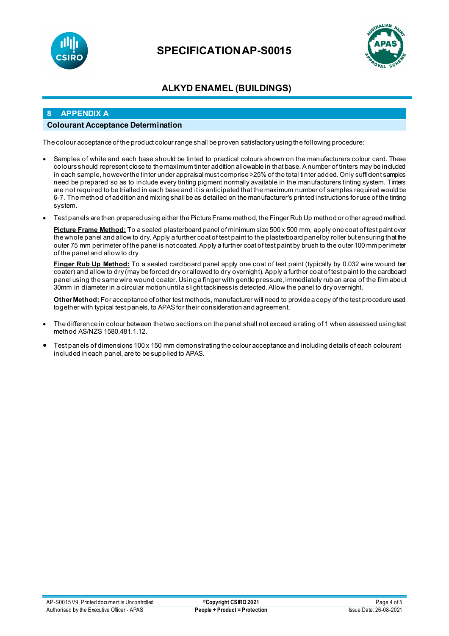

# **SPECIFICATIONAP-S0015**



# **ALKYD ENAMEL (BUILDINGS)**

## **8 APPENDIX A**

### **Colourant Acceptance Determination**

The colour acceptance of the product colour range shall be proven satisfactory using the following procedure:

- Samples of white and each base should be tinted to practical colours shown on the manufacturers colour card. These colours should represent close to the maximum tinter addition allowable in that base. A number of tinters may be included in each sample, however the tinter under appraisal must comprise >25% of the total tinter added. Only sufficient samples need be prepared so as to include every tinting pigment normally available in the manufacturers tinting system. Tinters are not required to be trialled in each base and it is anticipated that the maximum number of samples required would be 6-7. The method of addition and mixing shall be as detailed on the manufacturer's printed instructions for use of the tinting system.
- Test panels are then prepared using either the Picture Frame method, the Finger Rub Up method or other agreed method.

Picture Frame Method: To a sealed plasterboard panel of minimum size 500 x 500 mm, apply one coat of test paint over the whole panel and allow to dry. Apply a further coat of test paint to the plasterboard panel by roller but ensuring that the outer 75 mm perimeter of the panel is not coated. Apply a further coat of test paint by brush to the outer 100 mm perimeter of the panel and allow to dry.

**Finger Rub Up Method:** To a sealed cardboard panel apply one coat of test paint (typically by 0.032 wire wound bar coater) and allow to dry (may be forced dry or allowed to dry overnight). Apply a further coat of test paint to the cardboard panel using the same wire wound coater. Using a finger with gentle pressure, immediately rub an area of the film about 30mm in diameter in a circular motion until a slight tackiness is detected. Allow the panel to dry overnight.

**Other Method:** For acceptance of other test methods, manufacturer will need to provide a copy of the test procedure used together with typical test panels, to APAS for their consideration and agreement.

- The difference in colour between the two sections on the panel shall not exceed a rating of 1 when assessed using test method AS/NZS 1580.481.1.12.
- Test panels of dimensions 100 x 150 mm demonstrating the colour acceptance and including details of each colourant included in each panel, are to be supplied to APAS.